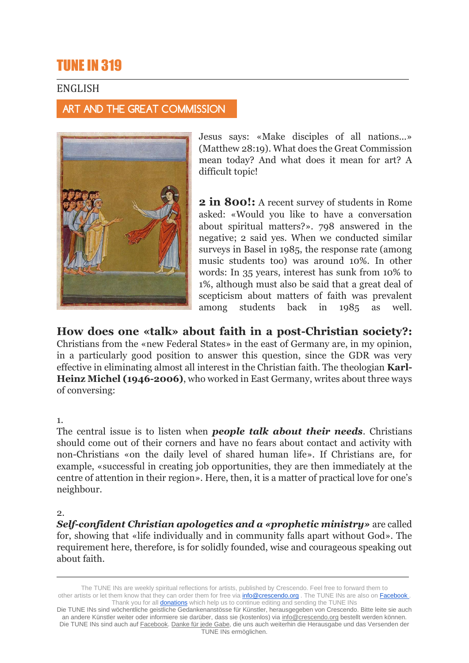# TUNE IN 319

## ENGLISH

ART AND THE GREAT COMMISSION



Jesus says: «Make disciples of all nations...» (Matthew 28:19). What does the Great Commission mean today? And what does it mean for art? A difficult topic!

**2 in 800!:** A recent survey of students in Rome asked: «Would you like to have a conversation about spiritual matters?». 798 answered in the negative; 2 said yes. When we conducted similar surveys in Basel in 1985, the response rate (among music students too) was around 10%. In other words: In 35 years, interest has sunk from 10% to 1%, although must also be said that a great deal of scepticism about matters of faith was prevalent among students back in 1985 as well.

**How does one «talk» about faith in a post-Christian society?:** Christians from the «new Federal States» in the east of Germany are, in my opinion, in a particularly good position to answer this question, since the GDR was very effective in eliminating almost all interest in the Christian faith. The theologian **Karl-Heinz Michel (1946-2006)**, who worked in East Germany, writes about three ways of conversing:

1.

The central issue is to listen when *people talk about their needs*. Christians should come out of their corners and have no fears about contact and activity with non-Christians «on the daily level of shared human life». If Christians are, for example, «successful in creating job opportunities, they are then immediately at the centre of attention in their region». Here, then, it is a matter of practical love for one's neighbour.

2.

*Self-confident Christian apologetics and a «prophetic ministry»* are called for, showing that «life individually and in community falls apart without God». The requirement here, therefore, is for solidly founded, wise and courageous speaking out about faith.

The TUNE INs are weekly spiritual reflections for artists, published by Crescendo. Feel free to forward them to other artists or let them know that they can order them for free via **[info@crescendo.org](mailto:info@crescendo.org)** . The TUNE INs are also on [Facebook](https://www.facebook.com/TUNEINs/) . Thank you for all **[donations](https://www.crescendo.org/en/contact--donate.html)** which help us to continue editing and sending the TUNE INs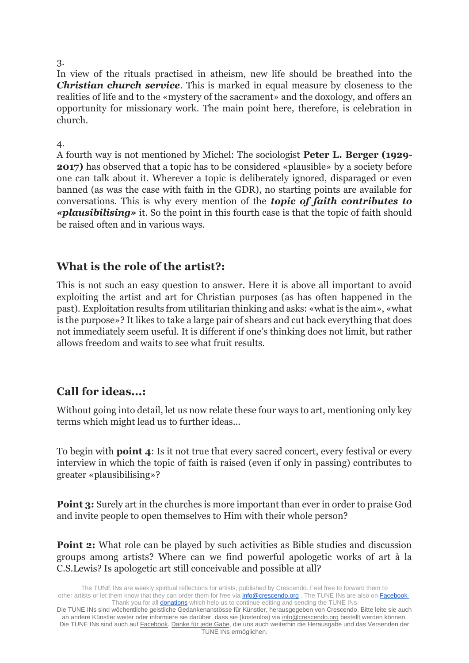#### 3.

In view of the rituals practised in atheism, new life should be breathed into the *Christian church service*. This is marked in equal measure by closeness to the realities of life and to the «mystery of the sacrament» and the doxology, and offers an opportunity for missionary work. The main point here, therefore, is celebration in church.

#### 4.

A fourth way is not mentioned by Michel: The sociologist **Peter L. Berger (1929- 2017)** has observed that a topic has to be considered «plausible» by a society before one can talk about it. Wherever a topic is deliberately ignored, disparaged or even banned (as was the case with faith in the GDR), no starting points are available for conversations. This is why every mention of the *topic of faith contributes to «plausibilising»* it. So the point in this fourth case is that the topic of faith should be raised often and in various ways.

## **What is the role of the artist?:**

This is not such an easy question to answer. Here it is above all important to avoid exploiting the artist and art for Christian purposes (as has often happened in the past). Exploitation results from utilitarian thinking and asks: «what is the aim», «what is the purpose»? It likes to take a large pair of shears and cut back everything that does not immediately seem useful. It is different if one's thinking does not limit, but rather allows freedom and waits to see what fruit results.

# **Call for ideas...:**

Without going into detail, let us now relate these four ways to art, mentioning only key terms which might lead us to further ideas...

To begin with **point 4**: Is it not true that every sacred concert, every festival or every interview in which the topic of faith is raised (even if only in passing) contributes to greater «plausibilising»?

**Point 3:** Surely art in the churches is more important than ever in order to praise God and invite people to open themselves to Him with their whole person?

**Point 2:** What role can be played by such activities as Bible studies and discussion groups among artists? Where can we find powerful apologetic works of art à la C.S.Lewis? Is apologetic art still conceivable and possible at all?

The TUNE INs are weekly spiritual reflections for artists, published by Crescendo. Feel free to forward them to other artists or let them know that they can order them for free via **[info@crescendo.org](mailto:info@crescendo.org)** . The TUNE INs are also on [Facebook](https://www.facebook.com/TUNEINs/) . Thank you for all **[donations](https://www.crescendo.org/en/contact--donate.html)** which help us to continue editing and sending the TUNE INs

Die TUNE INs sind wöchentliche geistliche Gedankenanstösse für Künstler, herausgegeben von Crescendo. Bitte leite sie auch an andere Künstler weiter oder informiere sie darüber, dass sie (kostenlos) via [info@crescendo.org](mailto:info@crescendo.org) bestellt werden können. Die TUNE INs sind auch auf [Facebook.](https://www.facebook.com/TUNEINs/) [Danke für jede Gabe,](https://www.crescendo.org/de/kontakt--spenden.html) die uns auch weiterhin die Herausgabe und das Versenden der TUNE INs ermöglichen.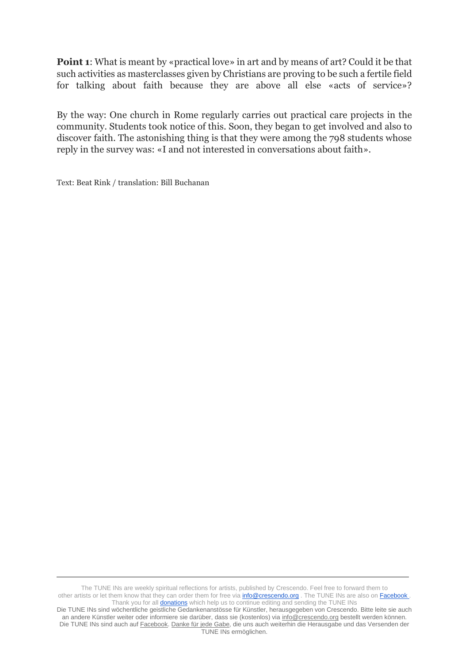**Point 1**: What is meant by «practical love» in art and by means of art? Could it be that such activities as masterclasses given by Christians are proving to be such a fertile field for talking about faith because they are above all else «acts of service»?

By the way: One church in Rome regularly carries out practical care projects in the community. Students took notice of this. Soon, they began to get involved and also to discover faith. The astonishing thing is that they were among the 798 students whose reply in the survey was: «I and not interested in conversations about faith».

Text: Beat Rink / translation: Bill Buchanan

The TUNE INs are weekly spiritual reflections for artists, published by Crescendo. Feel free to forward them to other artists or let them know that they can order them for free via **[info@crescendo.org](mailto:info@crescendo.org)** . The TUNE INs are also on [Facebook](https://www.facebook.com/TUNEINs/) . Thank you for all **[donations](https://www.crescendo.org/en/contact--donate.html)** which help us to continue editing and sending the TUNE INs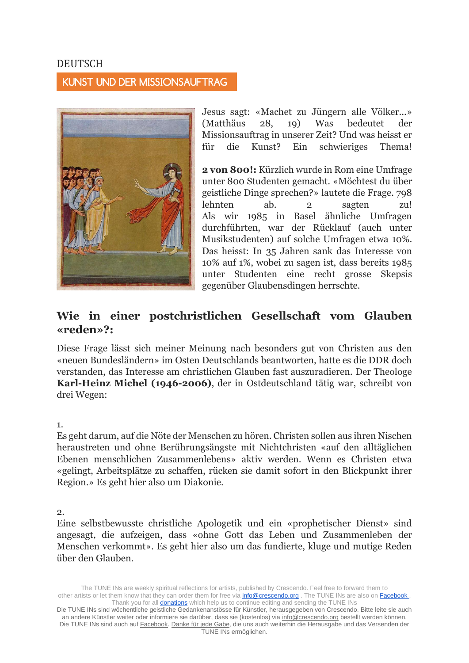## DEUTSCH

### KUNST UND DER MISSIONSAUFTRAG



Jesus sagt: «Machet zu Jüngern alle Völker...» (Matthäus 28, 19) Was bedeutet der Missionsauftrag in unserer Zeit? Und was heisst er für die Kunst? Ein schwieriges Thema!

**2 von 800!:** Kürzlich wurde in Rom eine Umfrage unter 800 Studenten gemacht. «Möchtest du über geistliche Dinge sprechen?» lautete die Frage. 798 lehnten ab. 2 sagten zu! Als wir 1985 in Basel ähnliche Umfragen durchführten, war der Rücklauf (auch unter Musikstudenten) auf solche Umfragen etwa 10%. Das heisst: In 35 Jahren sank das Interesse von 10% auf 1%, wobei zu sagen ist, dass bereits 1985 unter Studenten eine recht grosse Skepsis gegenüber Glaubensdingen herrschte.

# **Wie in einer postchristlichen Gesellschaft vom Glauben «reden»?:**

Diese Frage lässt sich meiner Meinung nach besonders gut von Christen aus den «neuen Bundesländern» im Osten Deutschlands beantworten, hatte es die DDR doch verstanden, das Interesse am christlichen Glauben fast auszuradieren. Der Theologe **Karl-Heinz Michel (1946-2006)**, der in Ostdeutschland tätig war, schreibt von drei Wegen:

#### 1.

Es geht darum, auf die Nöte der Menschen zu hören. Christen sollen aus ihren Nischen heraustreten und ohne Berührungsängste mit Nichtchristen «auf den alltäglichen Ebenen menschlichen Zusammenlebens» aktiv werden. Wenn es Christen etwa «gelingt, Arbeitsplätze zu schaffen, rücken sie damit sofort in den Blickpunkt ihrer Region.» Es geht hier also um Diakonie.

2.

Eine selbstbewusste christliche Apologetik und ein «prophetischer Dienst» sind angesagt, die aufzeigen, dass «ohne Gott das Leben und Zusammenleben der Menschen verkommt». Es geht hier also um das fundierte, kluge und mutige Reden über den Glauben.

The TUNE INs are weekly spiritual reflections for artists, published by Crescendo. Feel free to forward them to other artists or let them know that they can order them for free via **[info@crescendo.org](mailto:info@crescendo.org)** . The TUNE INs are also on [Facebook](https://www.facebook.com/TUNEINs/) . Thank you for all **[donations](https://www.crescendo.org/en/contact--donate.html)** which help us to continue editing and sending the TUNE INs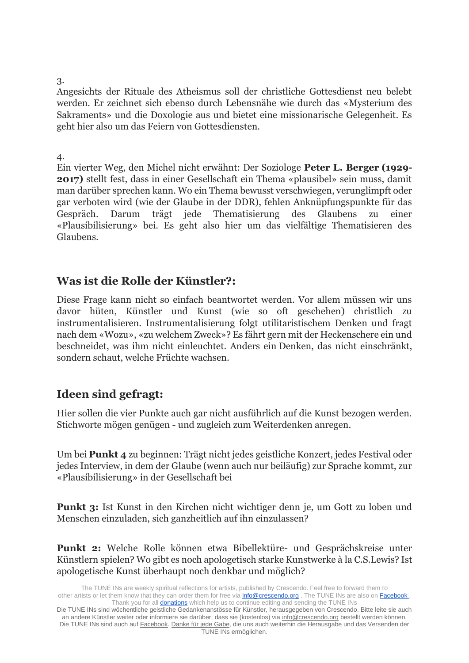#### 3.

Angesichts der Rituale des Atheismus soll der christliche Gottesdienst neu belebt werden. Er zeichnet sich ebenso durch Lebensnähe wie durch das «Mysterium des Sakraments» und die Doxologie aus und bietet eine missionarische Gelegenheit. Es geht hier also um das Feiern von Gottesdiensten.

#### 4.

Ein vierter Weg, den Michel nicht erwähnt: Der Soziologe **Peter L. Berger (1929- 2017)** stellt fest, dass in einer Gesellschaft ein Thema «plausibel» sein muss, damit man darüber sprechen kann. Wo ein Thema bewusst verschwiegen, verunglimpft oder gar verboten wird (wie der Glaube in der DDR), fehlen Anknüpfungspunkte für das Gespräch. Darum trägt jede Thematisierung des Glaubens zu einer «Plausibilisierung» bei. Es geht also hier um das vielfältige Thematisieren des Glaubens.

# **Was ist die Rolle der Künstler?:**

Diese Frage kann nicht so einfach beantwortet werden. Vor allem müssen wir uns davor hüten, Künstler und Kunst (wie so oft geschehen) christlich zu instrumentalisieren. Instrumentalisierung folgt utilitaristischem Denken und fragt nach dem «Wozu», «zu welchem Zweck»? Es fährt gern mit der Heckenschere ein und beschneidet, was ihm nicht einleuchtet. Anders ein Denken, das nicht einschränkt, sondern schaut, welche Früchte wachsen.

# **Ideen sind gefragt:**

Hier sollen die vier Punkte auch gar nicht ausführlich auf die Kunst bezogen werden. Stichworte mögen genügen - und zugleich zum Weiterdenken anregen.

Um bei **Punkt 4** zu beginnen: Trägt nicht jedes geistliche Konzert, jedes Festival oder jedes Interview, in dem der Glaube (wenn auch nur beiläufig) zur Sprache kommt, zur «Plausibilisierung» in der Gesellschaft bei

**Punkt 3:** Ist Kunst in den Kirchen nicht wichtiger denn je, um Gott zu loben und Menschen einzuladen, sich ganzheitlich auf ihn einzulassen?

**Punkt 2:** Welche Rolle können etwa Bibellektüre- und Gesprächskreise unter Künstlern spielen? Wo gibt es noch apologetisch starke Kunstwerke à la C.S.Lewis? Ist apologetische Kunst überhaupt noch denkbar und möglich?

The TUNE INs are weekly spiritual reflections for artists, published by Crescendo. Feel free to forward them to other artists or let them know that they can order them for free via **[info@crescendo.org](mailto:info@crescendo.org)** . The TUNE INs are also on [Facebook](https://www.facebook.com/TUNEINs/) . Thank you for all **[donations](https://www.crescendo.org/en/contact--donate.html)** which help us to continue editing and sending the TUNE INs

Die TUNE INs sind wöchentliche geistliche Gedankenanstösse für Künstler, herausgegeben von Crescendo. Bitte leite sie auch an andere Künstler weiter oder informiere sie darüber, dass sie (kostenlos) via [info@crescendo.org](mailto:info@crescendo.org) bestellt werden können. Die TUNE INs sind auch auf [Facebook.](https://www.facebook.com/TUNEINs/) [Danke für jede Gabe,](https://www.crescendo.org/de/kontakt--spenden.html) die uns auch weiterhin die Herausgabe und das Versenden der TUNE INs ermöglichen.